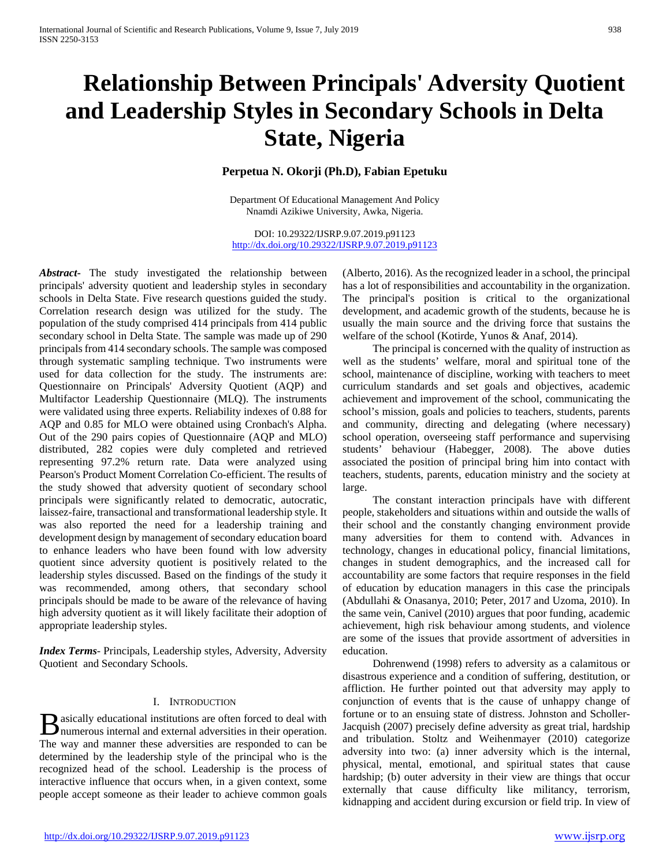# **Relationship Between Principals' Adversity Quotient and Leadership Styles in Secondary Schools in Delta State, Nigeria**

# **Perpetua N. Okorji (Ph.D), Fabian Epetuku**

Department Of Educational Management And Policy Nnamdi Azikiwe University, Awka, Nigeria.

DOI: 10.29322/IJSRP.9.07.2019.p91123 <http://dx.doi.org/10.29322/IJSRP.9.07.2019.p91123>

*Abstract***-** The study investigated the relationship between principals' adversity quotient and leadership styles in secondary schools in Delta State. Five research questions guided the study. Correlation research design was utilized for the study. The population of the study comprised 414 principals from 414 public secondary school in Delta State. The sample was made up of 290 principals from 414 secondary schools. The sample was composed through systematic sampling technique. Two instruments were used for data collection for the study. The instruments are: Questionnaire on Principals' Adversity Quotient (AQP) and Multifactor Leadership Questionnaire (MLQ). The instruments were validated using three experts. Reliability indexes of 0.88 for AQP and 0.85 for MLO were obtained using Cronbach's Alpha. Out of the 290 pairs copies of Questionnaire (AQP and MLO) distributed, 282 copies were duly completed and retrieved representing 97.2% return rate. Data were analyzed using Pearson's Product Moment Correlation Co-efficient. The results of the study showed that adversity quotient of secondary school principals were significantly related to democratic, autocratic, laissez-faire, transactional and transformational leadership style. It was also reported the need for a leadership training and development design by management of secondary education board to enhance leaders who have been found with low adversity quotient since adversity quotient is positively related to the leadership styles discussed. Based on the findings of the study it was recommended, among others, that secondary school principals should be made to be aware of the relevance of having high adversity quotient as it will likely facilitate their adoption of appropriate leadership styles.

*Index Terms*- Principals, Leadership styles, Adversity, Adversity Quotient and Secondary Schools.

## I. INTRODUCTION

**asically educational institutions are often forced to deal with B** asically educational institutions are often forced to deal with numerous internal and external adversities in their operation. The way and manner these adversities are responded to can be determined by the leadership style of the principal who is the recognized head of the school. Leadership is the process of interactive influence that occurs when, in a given context, some people accept someone as their leader to achieve common goals

(Alberto, 2016). As the recognized leader in a school, the principal has a lot of responsibilities and accountability in the organization. The principal's position is critical to the organizational development, and academic growth of the students, because he is usually the main source and the driving force that sustains the welfare of the school (Kotirde, Yunos & Anaf, 2014).

 The principal is concerned with the quality of instruction as well as the students' welfare, moral and spiritual tone of the school, maintenance of discipline, working with teachers to meet curriculum standards and set goals and objectives, academic achievement and improvement of the school, communicating the school's mission, goals and policies to teachers, students, parents and community, directing and delegating (where necessary) school operation, overseeing staff performance and supervising students' behaviour (Habegger, 2008). The above duties associated the position of principal bring him into contact with teachers, students, parents, education ministry and the society at large.

 The constant interaction principals have with different people, stakeholders and situations within and outside the walls of their school and the constantly changing environment provide many adversities for them to contend with. Advances in technology, changes in educational policy, financial limitations, changes in student demographics, and the increased call for accountability are some factors that require responses in the field of education by education managers in this case the principals (Abdullahi & Onasanya, 2010; Peter, 2017 and Uzoma, 2010). In the same vein, Canivel (2010) argues that poor funding, academic achievement, high risk behaviour among students, and violence are some of the issues that provide assortment of adversities in education.

 Dohrenwend (1998) refers to adversity as a calamitous or disastrous experience and a condition of suffering, destitution, or affliction. He further pointed out that adversity may apply to conjunction of events that is the cause of unhappy change of fortune or to an ensuing state of distress. Johnston and Scholler-Jacquish (2007) precisely define adversity as great trial, hardship and tribulation. Stoltz and Weihenmayer (2010) categorize adversity into two: (a) inner adversity which is the internal, physical, mental, emotional, and spiritual states that cause hardship; (b) outer adversity in their view are things that occur externally that cause difficulty like militancy, terrorism, kidnapping and accident during excursion or field trip. In view of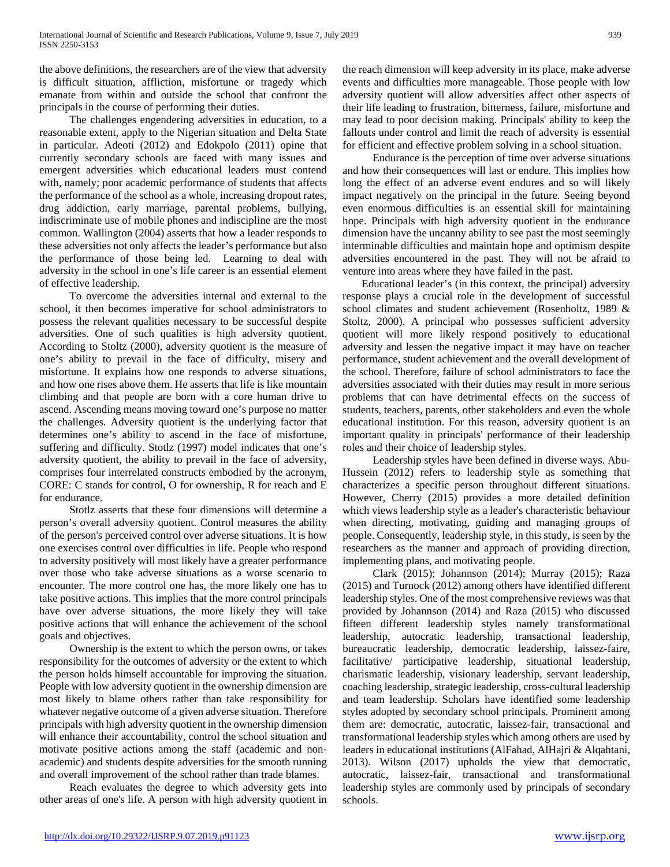the above definitions, the researchers are of the view that adversity is difficult situation, affliction, misfortune or tragedy which emanate from within and outside the school that confront the principals in the course of performing their duties.

 The challenges engendering adversities in education, to a reasonable extent, apply to the Nigerian situation and Delta State in particular. Adeoti (2012) and Edokpolo (2011) opine that currently secondary schools are faced with many issues and emergent adversities which educational leaders must contend with, namely; poor academic performance of students that affects the performance of the school as a whole, increasing dropout rates, drug addiction, early marriage, parental problems, bullying, indiscriminate use of mobile phones and indiscipline are the most common. Wallington (2004) asserts that how a leader responds to these adversities not only affects the leader's performance but also the performance of those being led. Learning to deal with adversity in the school in one's life career is an essential element of effective leadership.

 To overcome the adversities internal and external to the school, it then becomes imperative for school administrators to possess the relevant qualities necessary to be successful despite adversities. One of such qualities is high adversity quotient. According to Stoltz (2000), adversity quotient is the measure of one's ability to prevail in the face of difficulty, misery and misfortune. It explains how one responds to adverse situations, and how one rises above them. He asserts that life is like mountain climbing and that people are born with a core human drive to ascend. Ascending means moving toward one's purpose no matter the challenges. Adversity quotient is the underlying factor that determines one's ability to ascend in the face of misfortune, suffering and difficulty. Stotlz (1997) model indicates that one's adversity quotient, the ability to prevail in the face of adversity, comprises four interrelated constructs embodied by the acronym, CORE: C stands for control, O for ownership, R for reach and E for endurance.

 Stotlz asserts that these four dimensions will determine a person's overall adversity quotient. Control measures the ability of the person's perceived control over adverse situations. It is how one exercises control over difficulties in life. People who respond to adversity positively will most likely have a greater performance over those who take adverse situations as a worse scenario to encounter. The more control one has, the more likely one has to take positive actions. This implies that the more control principals have over adverse situations, the more likely they will take positive actions that will enhance the achievement of the school goals and objectives.

 Ownership is the extent to which the person owns, or takes responsibility for the outcomes of adversity or the extent to which the person holds himself accountable for improving the situation. People with low adversity quotient in the ownership dimension are most likely to blame others rather than take responsibility for whatever negative outcome of a given adverse situation. Therefore principals with high adversity quotient in the ownership dimension will enhance their accountability, control the school situation and motivate positive actions among the staff (academic and nonacademic) and students despite adversities for the smooth running and overall improvement of the school rather than trade blames.

 Reach evaluates the degree to which adversity gets into other areas of one's life. A person with high adversity quotient in the reach dimension will keep adversity in its place, make adverse events and difficulties more manageable. Those people with low adversity quotient will allow adversities affect other aspects of their life leading to frustration, bitterness, failure, misfortune and may lead to poor decision making. Principals' ability to keep the fallouts under control and limit the reach of adversity is essential for efficient and effective problem solving in a school situation.

 Endurance is the perception of time over adverse situations and how their consequences will last or endure. This implies how long the effect of an adverse event endures and so will likely impact negatively on the principal in the future. Seeing beyond even enormous difficulties is an essential skill for maintaining hope. Principals with high adversity quotient in the endurance dimension have the uncanny ability to see past the most seemingly interminable difficulties and maintain hope and optimism despite adversities encountered in the past. They will not be afraid to venture into areas where they have failed in the past.

Educational leader's (in this context, the principal) adversity response plays a crucial role in the development of successful school climates and student achievement (Rosenholtz, 1989 & Stoltz, 2000). A principal who possesses sufficient adversity quotient will more likely respond positively to educational adversity and lessen the negative impact it may have on teacher performance, student achievement and the overall development of the school. Therefore, failure of school administrators to face the adversities associated with their duties may result in more serious problems that can have detrimental effects on the success of students, teachers, parents, other stakeholders and even the whole educational institution. For this reason, adversity quotient is an important quality in principals' performance of their leadership roles and their choice of leadership styles.

 Leadership styles have been defined in diverse ways. Abu-Hussein (2012) refers to leadership style as something that characterizes a specific person throughout different situations. However, Cherry (2015) provides a more detailed definition which views leadership style as a leader's characteristic behaviour when directing, motivating, guiding and managing groups of people. Consequently, leadership style, in this study, is seen by the researchers as the manner and approach of providing direction, implementing plans, and motivating people.

 Clark (2015); Johannson (2014); Murray (2015); Raza (2015) and Turnock (2012) among others have identified different leadership styles. One of the most comprehensive reviews was that provided by Johannson (2014) and Raza (2015) who discussed fifteen different leadership styles namely transformational leadership, autocratic leadership, transactional leadership, bureaucratic leadership, democratic leadership, laissez-faire, facilitative/ participative leadership, situational leadership, charismatic leadership, visionary leadership, servant leadership, coaching leadership, strategic leadership, cross-cultural leadership and team leadership. Scholars have identified some leadership styles adopted by secondary school principals. Prominent among them are: democratic, autocratic, laissez-fair, transactional and transformational leadership styles which among others are used by leaders in educational institutions (AlFahad, AlHajri & Alqahtani, 2013). Wilson (2017) upholds the view that democratic, autocratic, laissez-fair, transactional and transformational leadership styles are commonly used by principals of secondary schools.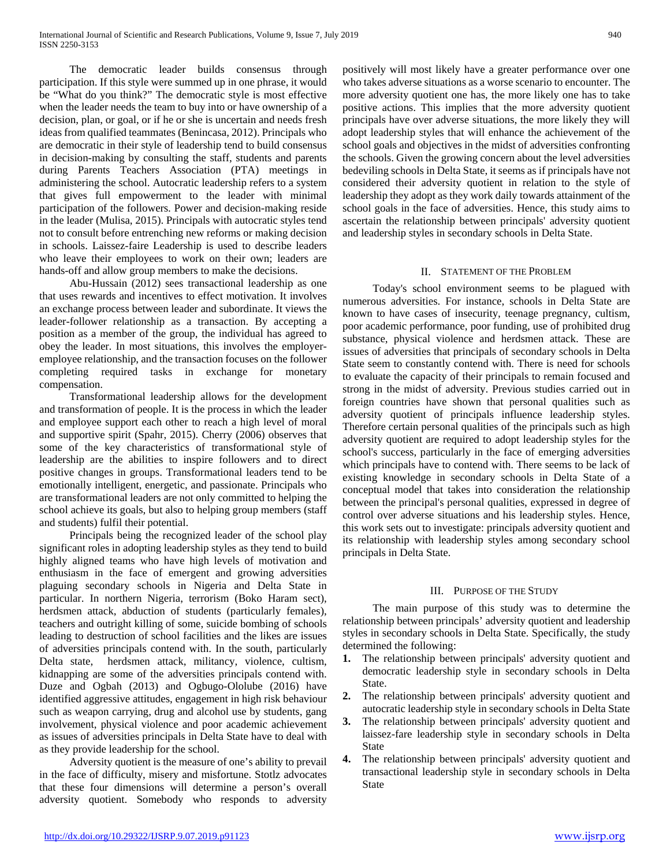The democratic leader builds consensus through participation. If this style were summed up in one phrase, it would be "What do you think?" The democratic style is most effective when the leader needs the team to buy into or have ownership of a decision, plan, or goal, or if he or she is uncertain and needs fresh ideas from qualified teammates (Benincasa, 2012). Principals who are democratic in their style of leadership tend to build consensus in decision-making by consulting the staff, students and parents during Parents Teachers Association (PTA) meetings in administering the school. Autocratic leadership refers to a system that gives full empowerment to the leader with minimal participation of the followers. Power and decision-making reside in the leader (Mulisa, 2015). Principals with autocratic styles tend not to consult before entrenching new reforms or making decision in schools. Laissez-faire Leadership is used to describe leaders who leave their employees to work on their own; leaders are hands-off and allow group members to make the decisions.

 Abu-Hussain (2012) sees transactional leadership as one that uses rewards and incentives to effect motivation. It involves an exchange process between leader and subordinate. It views the leader-follower relationship as a transaction. By accepting a position as a member of the group, the individual has agreed to obey the leader. In most situations, this involves the employeremployee relationship, and the transaction focuses on the follower completing required tasks in exchange for monetary compensation.

 Transformational leadership allows for the development and transformation of people. It is the process in which the leader and employee support each other to reach a high level of moral and supportive spirit (Spahr, 2015). Cherry (2006) observes that some of the key characteristics of transformational style of leadership are the abilities to inspire followers and to direct positive changes in groups. Transformational leaders tend to be emotionally intelligent, energetic, and passionate. Principals who are transformational leaders are not only committed to helping the school achieve its goals, but also to helping group members (staff and students) fulfil their potential.

 Principals being the recognized leader of the school play significant roles in adopting leadership styles as they tend to build highly aligned teams who have high levels of motivation and enthusiasm in the face of emergent and growing adversities plaguing secondary schools in Nigeria and Delta State in particular. In northern Nigeria, terrorism (Boko Haram sect), herdsmen attack, abduction of students (particularly females), teachers and outright killing of some, suicide bombing of schools leading to destruction of school facilities and the likes are issues of adversities principals contend with. In the south, particularly Delta state, herdsmen attack, militancy, violence, cultism, kidnapping are some of the adversities principals contend with. Duze and Ogbah (2013) and Ogbugo-Ololube (2016) have identified aggressive attitudes, engagement in high risk behaviour such as weapon carrying, drug and alcohol use by students, gang involvement, physical violence and poor academic achievement as issues of adversities principals in Delta State have to deal with as they provide leadership for the school.

 Adversity quotient is the measure of one's ability to prevail in the face of difficulty, misery and misfortune. Stotlz advocates that these four dimensions will determine a person's overall adversity quotient. Somebody who responds to adversity

positively will most likely have a greater performance over one who takes adverse situations as a worse scenario to encounter. The more adversity quotient one has, the more likely one has to take positive actions. This implies that the more adversity quotient principals have over adverse situations, the more likely they will adopt leadership styles that will enhance the achievement of the school goals and objectives in the midst of adversities confronting the schools. Given the growing concern about the level adversities bedeviling schools in Delta State, it seems as if principals have not considered their adversity quotient in relation to the style of leadership they adopt as they work daily towards attainment of the school goals in the face of adversities. Hence, this study aims to ascertain the relationship between principals' adversity quotient and leadership styles in secondary schools in Delta State.

## II. STATEMENT OF THE PROBLEM

 Today's school environment seems to be plagued with numerous adversities. For instance, schools in Delta State are known to have cases of insecurity, teenage pregnancy, cultism, poor academic performance, poor funding, use of prohibited drug substance, physical violence and herdsmen attack. These are issues of adversities that principals of secondary schools in Delta State seem to constantly contend with. There is need for schools to evaluate the capacity of their principals to remain focused and strong in the midst of adversity. Previous studies carried out in foreign countries have shown that personal qualities such as adversity quotient of principals influence leadership styles. Therefore certain personal qualities of the principals such as high adversity quotient are required to adopt leadership styles for the school's success, particularly in the face of emerging adversities which principals have to contend with. There seems to be lack of existing knowledge in secondary schools in Delta State of a conceptual model that takes into consideration the relationship between the principal's personal qualities, expressed in degree of control over adverse situations and his leadership styles. Hence, this work sets out to investigate: principals adversity quotient and its relationship with leadership styles among secondary school principals in Delta State.

#### III. PURPOSE OF THE STUDY

 The main purpose of this study was to determine the relationship between principals' adversity quotient and leadership styles in secondary schools in Delta State. Specifically, the study determined the following:

- **1.** The relationship between principals' adversity quotient and democratic leadership style in secondary schools in Delta State.
- **2.** The relationship between principals' adversity quotient and autocratic leadership style in secondary schools in Delta State
- **3.** The relationship between principals' adversity quotient and laissez-fare leadership style in secondary schools in Delta State
- **4.** The relationship between principals' adversity quotient and transactional leadership style in secondary schools in Delta State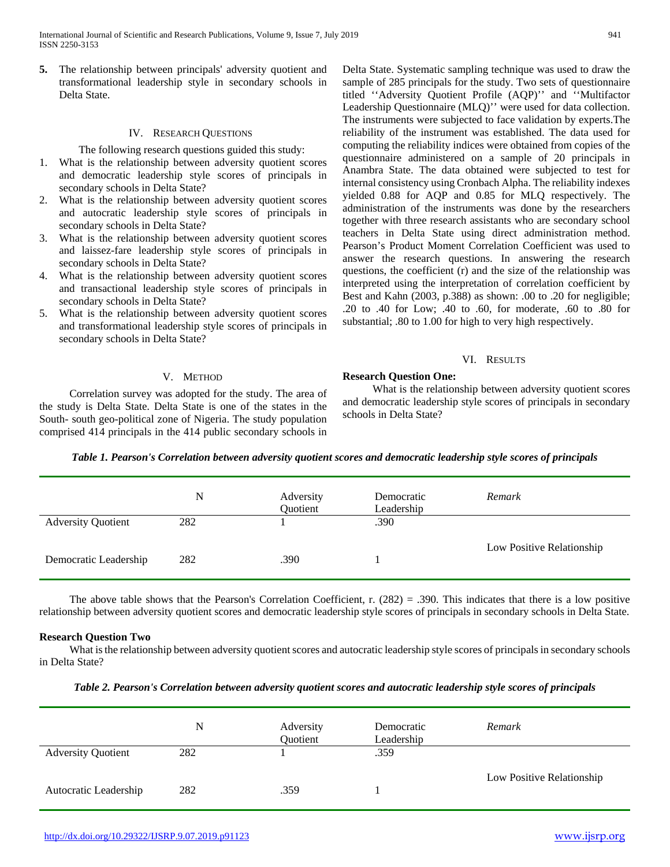International Journal of Scientific and Research Publications, Volume 9, Issue 7, July 2019 941 ISSN 2250-3153

**5.** The relationship between principals' adversity quotient and transformational leadership style in secondary schools in Delta State.

#### IV. RESEARCH QUESTIONS

The following research questions guided this study:

- 1. What is the relationship between adversity quotient scores and democratic leadership style scores of principals in secondary schools in Delta State?
- 2. What is the relationship between adversity quotient scores and autocratic leadership style scores of principals in secondary schools in Delta State?
- 3. What is the relationship between adversity quotient scores and laissez-fare leadership style scores of principals in secondary schools in Delta State?
- 4. What is the relationship between adversity quotient scores and transactional leadership style scores of principals in secondary schools in Delta State?
- 5. What is the relationship between adversity quotient scores and transformational leadership style scores of principals in secondary schools in Delta State?

# V. METHOD

 Correlation survey was adopted for the study. The area of the study is Delta State. Delta State is one of the states in the South- south geo-political zone of Nigeria. The study population comprised 414 principals in the 414 public secondary schools in Delta State. Systematic sampling technique was used to draw the sample of 285 principals for the study. Two sets of questionnaire titled ''Adversity Quotient Profile (AQP)'' and ''Multifactor Leadership Questionnaire (MLQ)'' were used for data collection. The instruments were subjected to face validation by experts.The reliability of the instrument was established. The data used for computing the reliability indices were obtained from copies of the questionnaire administered on a sample of 20 principals in Anambra State. The data obtained were subjected to test for internal consistency using Cronbach Alpha. The reliability indexes yielded 0.88 for AQP and 0.85 for MLQ respectively. The administration of the instruments was done by the researchers together with three research assistants who are secondary school teachers in Delta State using direct administration method. Pearson's Product Moment Correlation Coefficient was used to answer the research questions. In answering the research questions, the coefficient (r) and the size of the relationship was interpreted using the interpretation of correlation coefficient by Best and Kahn (2003, p.388) as shown: .00 to .20 for negligible; .20 to .40 for Low; .40 to .60, for moderate, .60 to .80 for substantial; .80 to 1.00 for high to very high respectively.

## VI. RESULTS

# **Research Question One:**

 What is the relationship between adversity quotient scores and democratic leadership style scores of principals in secondary schools in Delta State?

*Table 1. Pearson's Correlation between adversity quotient scores and democratic leadership style scores of principals*

|                           | N   | Adversity<br>Quotient | Democratic<br>Leadership | Remark                    |
|---------------------------|-----|-----------------------|--------------------------|---------------------------|
| <b>Adversity Quotient</b> | 282 |                       | .390                     |                           |
| Democratic Leadership     | 282 | .390                  |                          | Low Positive Relationship |

The above table shows that the Pearson's Correlation Coefficient, r.  $(282) = .390$ . This indicates that there is a low positive relationship between adversity quotient scores and democratic leadership style scores of principals in secondary schools in Delta State.

#### **Research Question Two**

 What is the relationship between adversity quotient scores and autocratic leadership style scores of principals in secondary schools in Delta State?

|  | Table 2. Pearson's Correlation between adversity quotient scores and autocratic leadership style scores of principals |  |  |
|--|-----------------------------------------------------------------------------------------------------------------------|--|--|
|  |                                                                                                                       |  |  |

|                           | N   | Adversity<br>Quotient | Democratic<br>Leadership | Remark                    |
|---------------------------|-----|-----------------------|--------------------------|---------------------------|
| <b>Adversity Quotient</b> | 282 |                       | .359                     |                           |
| Autocratic Leadership     | 282 | .359                  |                          | Low Positive Relationship |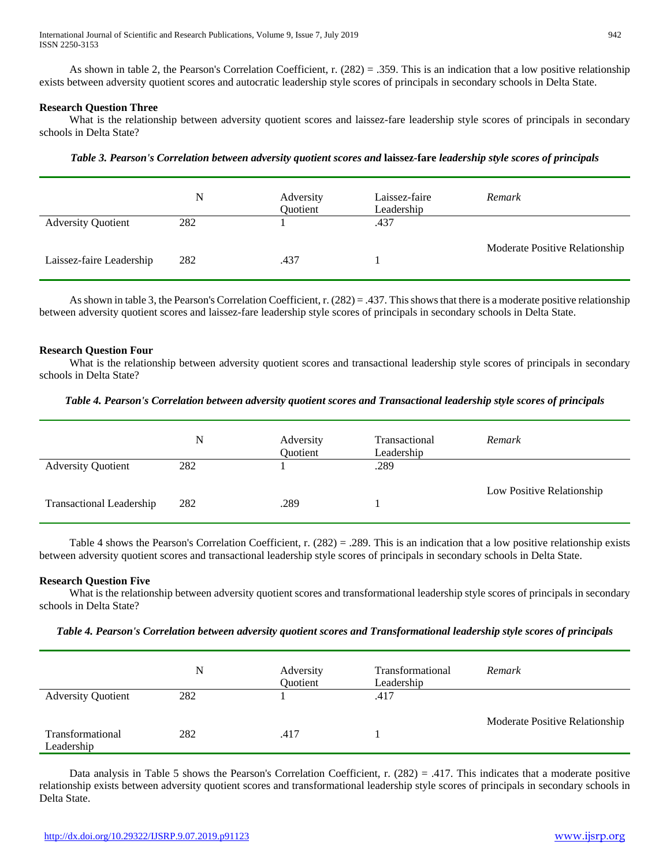As shown in table 2, the Pearson's Correlation Coefficient, r. (282) = .359. This is an indication that a low positive relationship exists between adversity quotient scores and autocratic leadership style scores of principals in secondary schools in Delta State.

## **Research Question Three**

What is the relationship between adversity quotient scores and laissez-fare leadership style scores of principals in secondary schools in Delta State?

|                           | N   | Adversity<br>Quotient | Laissez-faire<br>Leadership | Remark                         |
|---------------------------|-----|-----------------------|-----------------------------|--------------------------------|
| <b>Adversity Quotient</b> | 282 |                       | .437                        |                                |
| Laissez-faire Leadership  | 282 | .437                  |                             | Moderate Positive Relationship |

*Table 3. Pearson's Correlation between adversity quotient scores and* **laissez-fare** *leadership style scores of principals*

As shown in table 3, the Pearson's Correlation Coefficient, r. (282) = .437. This shows that there is a moderate positive relationship between adversity quotient scores and laissez-fare leadership style scores of principals in secondary schools in Delta State.

## **Research Question Four**

What is the relationship between adversity quotient scores and transactional leadership style scores of principals in secondary schools in Delta State?

## *Table 4. Pearson's Correlation between adversity quotient scores and Transactional leadership style scores of principals*

|                                 | N   | Adversity<br>Quotient | Transactional<br>Leadership | Remark                    |
|---------------------------------|-----|-----------------------|-----------------------------|---------------------------|
| <b>Adversity Quotient</b>       | 282 |                       | .289                        |                           |
| <b>Transactional Leadership</b> | 282 | .289                  |                             | Low Positive Relationship |

 Table 4 shows the Pearson's Correlation Coefficient, r. (282) = .289. This is an indication that a low positive relationship exists between adversity quotient scores and transactional leadership style scores of principals in secondary schools in Delta State.

## **Research Question Five**

 What is the relationship between adversity quotient scores and transformational leadership style scores of principals in secondary schools in Delta State?

| Table 4. Pearson's Correlation between adversity quotient scores and Transformational leadership style scores of principals |  |  |
|-----------------------------------------------------------------------------------------------------------------------------|--|--|
|                                                                                                                             |  |  |

|                                | N   | Adversity<br>Quotient | Transformational<br>Leadership | Remark                         |
|--------------------------------|-----|-----------------------|--------------------------------|--------------------------------|
| <b>Adversity Quotient</b>      | 282 |                       | .417                           |                                |
| Transformational<br>Leadership | 282 | .417                  |                                | Moderate Positive Relationship |

Data analysis in Table 5 shows the Pearson's Correlation Coefficient, r.  $(282) = .417$ . This indicates that a moderate positive relationship exists between adversity quotient scores and transformational leadership style scores of principals in secondary schools in Delta State.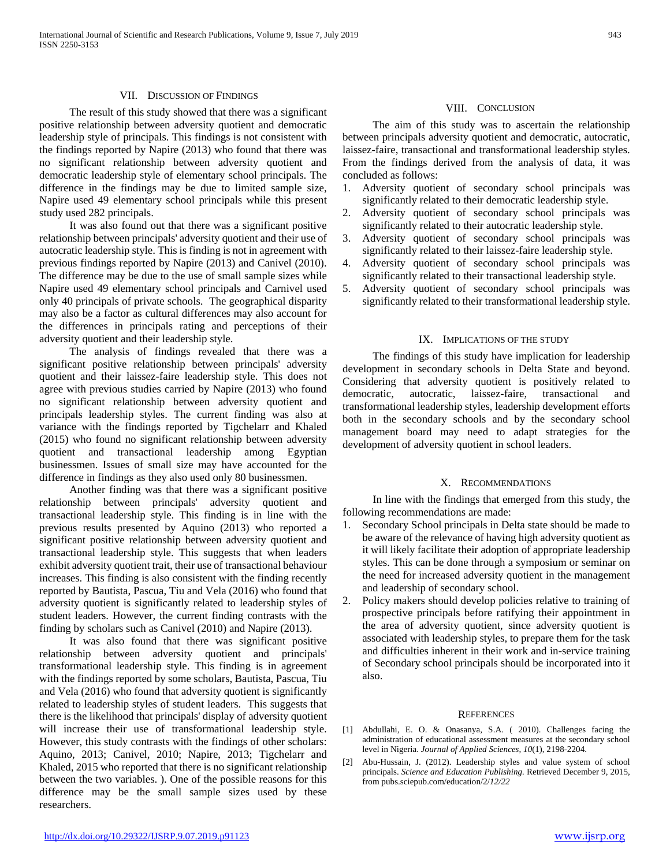#### VII. DISCUSSION OF FINDINGS

 The result of this study showed that there was a significant positive relationship between adversity quotient and democratic leadership style of principals. This findings is not consistent with the findings reported by Napire (2013) who found that there was no significant relationship between adversity quotient and democratic leadership style of elementary school principals. The difference in the findings may be due to limited sample size, Napire used 49 elementary school principals while this present study used 282 principals.

 It was also found out that there was a significant positive relationship between principals' adversity quotient and their use of autocratic leadership style. This is finding is not in agreement with previous findings reported by Napire (2013) and Canivel (2010). The difference may be due to the use of small sample sizes while Napire used 49 elementary school principals and Carnivel used only 40 principals of private schools. The geographical disparity may also be a factor as cultural differences may also account for the differences in principals rating and perceptions of their adversity quotient and their leadership style.

 The analysis of findings revealed that there was a significant positive relationship between principals' adversity quotient and their laissez-faire leadership style. This does not agree with previous studies carried by Napire (2013) who found no significant relationship between adversity quotient and principals leadership styles. The current finding was also at variance with the findings reported by Tigchelarr and Khaled (2015) who found no significant relationship between adversity quotient and transactional leadership among Egyptian businessmen. Issues of small size may have accounted for the difference in findings as they also used only 80 businessmen.

 Another finding was that there was a significant positive relationship between principals' adversity quotient and transactional leadership style. This finding is in line with the previous results presented by Aquino (2013) who reported a significant positive relationship between adversity quotient and transactional leadership style. This suggests that when leaders exhibit adversity quotient trait, their use of transactional behaviour increases. This finding is also consistent with the finding recently reported by Bautista, Pascua, Tiu and Vela (2016) who found that adversity quotient is significantly related to leadership styles of student leaders. However, the current finding contrasts with the finding by scholars such as Canivel (2010) and Napire (2013).

 It was also found that there was significant positive relationship between adversity quotient and principals' transformational leadership style. This finding is in agreement with the findings reported by some scholars, Bautista, Pascua, Tiu and Vela (2016) who found that adversity quotient is significantly related to leadership styles of student leaders. This suggests that there is the likelihood that principals' display of adversity quotient will increase their use of transformational leadership style. However, this study contrasts with the findings of other scholars: Aquino, 2013; Canivel, 2010; Napire, 2013; Tigchelarr and Khaled, 2015 who reported that there is no significant relationship between the two variables. ). One of the possible reasons for this difference may be the small sample sizes used by these researchers.

## VIII. CONCLUSION

 The aim of this study was to ascertain the relationship between principals adversity quotient and democratic, autocratic, laissez-faire, transactional and transformational leadership styles. From the findings derived from the analysis of data, it was concluded as follows:

- 1. Adversity quotient of secondary school principals was significantly related to their democratic leadership style.
- 2. Adversity quotient of secondary school principals was significantly related to their autocratic leadership style.
- 3. Adversity quotient of secondary school principals was significantly related to their laissez-faire leadership style.
- 4. Adversity quotient of secondary school principals was significantly related to their transactional leadership style.
- 5. Adversity quotient of secondary school principals was significantly related to their transformational leadership style.

#### IX. IMPLICATIONS OF THE STUDY

 The findings of this study have implication for leadership development in secondary schools in Delta State and beyond. Considering that adversity quotient is positively related to democratic, autocratic, laissez-faire, transactional and transformational leadership styles, leadership development efforts both in the secondary schools and by the secondary school management board may need to adapt strategies for the development of adversity quotient in school leaders.

#### X. RECOMMENDATIONS

 In line with the findings that emerged from this study, the following recommendations are made:

- 1. Secondary School principals in Delta state should be made to be aware of the relevance of having high adversity quotient as it will likely facilitate their adoption of appropriate leadership styles. This can be done through a symposium or seminar on the need for increased adversity quotient in the management and leadership of secondary school.
- 2. Policy makers should develop policies relative to training of prospective principals before ratifying their appointment in the area of adversity quotient, since adversity quotient is associated with leadership styles, to prepare them for the task and difficulties inherent in their work and in-service training of Secondary school principals should be incorporated into it also.

#### **REFERENCES**

- [1] Abdullahi, E. O. & Onasanya, S.A. ( 2010). Challenges facing the administration of educational assessment measures at the secondary school level in Nigeria. *Journal of Applied Sciences, 10*(1), 2198-2204.
- [2] Abu-Hussain, J. (2012). Leadership styles and value system of school principals. *Science and Education Publishing.* Retrieved December 9, 2015, from pubs.sciepub.com/education/2/*12/22*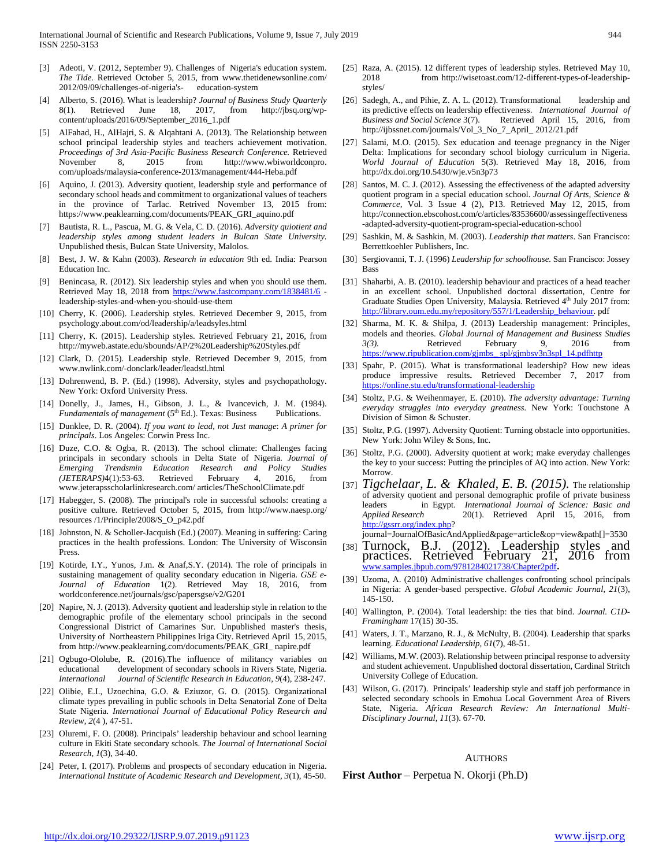- [3] Adeoti, V. (2012, September 9). Challenges of Nigeria's education system. *The Tide.* Retrieved October 5, 2015, from www.thetidenewsonline.com/ 2012/09/09/challenges-of-nigeria's- education-system
- [4] Alberto, S. (2016). What is leadership? *Journal of Business Study Quarterly* 8(1). Retrieved June 18, 2017, from http://jbsq.org/wpcontent/uploads/2016/09/September\_2016\_1.pdf
- [5] AlFahad, H., AlHajri, S. & Alqahtani A. (2013). The Relationship between school principal leadership styles and teachers achievement motivation. *Proceedings of 3rd Asia-Pacific Business Research Conference.* Retrieved November 8, 2015 from http://www.wbiworldconpro. com/uploads/malaysia-conference-2013/management/444-Heba.pdf
- [6] Aquino, J. (2013). Adversity quotient, leadership style and performance of secondary school heads and commitment to organizational values of teachers in the province of Tarlac. Retrived November 13, 2015 from: https://www.peaklearning.com/documents/PEAK\_GRI\_aquino.pdf
- [7] Bautista, R. L., Pascua, M. G. & Vela, C. D. (2016). *Adversity quiotient and leadership styles among student leaders in Bulcan State University.* Unpublished thesis, Bulcan State University, Malolos.
- [8] Best, J. W. & Kahn (2003). *Research in education* 9th ed. India: Pearson Education Inc.
- [9] Benincasa, R. (2012). Six leadership styles and when you should use them. Retrieved May 18, 2018 from<https://www.fastcompany.com/1838481/6> leadership-styles-and-when-you-should-use-them
- [10] Cherry, K. (2006). Leadership styles. Retrieved December 9, 2015, from psychology.about.com/od/leadership/a/leadsyles.html
- [11] Cherry, K. (2015). Leadership styles. Retrieved February 21, 2016, from http://myweb.astate.edu/sbounds/AP/2%20Leadership%20Styles.pdf
- [12] Clark, D. (2015). Leadership style. Retrieved December 9, 2015, from www.nwlink.com/-donclark/leader/leadstl.html
- [13] Dohrenwend, B. P. (Ed.) (1998). Adversity, styles and psychopathology. New York: Oxford University Press.
- [14] Donelly, J., James, H., Gibson, J. L., & Ivancevich, J. M. (1984).<br>Fundamentals of management ( $5^{\text{th}}$  Ed.). Texas: Business Publications. *Fundamentals of management* (5<sup>th</sup> Ed.). Texas: Business
- [15] Dunklee, D. R. (2004). *If you want to lead*, *not Just manage*: *A primer for principals*. Los Angeles: Corwin Press Inc.
- [16] Duze, C.O. & Ogba, R. (2013). The school climate: Challenges facing principals in secondary schools in Delta State of Nigeria. *Journal of Emerging Trendsmin Education Research and Policy Studies (JETERAPS)*4(1):53-63. Retrieved February 4, 2016, from www.jeterapsscholarlinkresearch.com/ articles/TheSchoolClimate.pdf
- [17] Habegger, S. (2008). The principal's role in successful schools: creating a positive culture. Retrieved October 5, 2015, from http://www.naesp.org/ resources /1/Principle/2008/S\_O\_p42.pdf
- [18] Johnston, N. & Scholler-Jacquish (Ed.) (2007). Meaning in suffering: Caring practices in the health professions. London: The University of Wisconsin Press.
- [19] Kotirde, I.Y., Yunos, J.m. & Anaf, S.Y. (2014). The role of principals in sustaining management of quality secondary education in Nigeria. *GSE e-Journal of Education* 1(2). Retrieved May 18, 2016, from worldconference.net/journals/gsc/papersgse/v2/G201
- [20] Napire, N. J. (2013). Adversity quotient and leadership style in relation to the demographic profile of the elementary school principals in the second Congressional District of Camarines Sur. Unpublished master's thesis, University of Northeastern Philippines Iriga City. Retrieved April 15, 2015, from http://www.peaklearning.com/documents/PEAK\_GRI\_ napire.pdf
- [21] Ogbugo-Ololube, R. (2016). The influence of militancy variables on educational development of secondary schools in Rivers State, Nigeria*. International Journal of Scientific Research in Education, 9*(4), 238-247.
- [22] Olibie, E.I., Uzoechina, G.O. & Eziuzor, G. O. (2015). Organizational climate types prevailing in public schools in Delta Senatorial Zone of Delta State Nigeria. *International Journal of Educational Policy Research and Review*, *2*(4 ), 47-51.
- [23] Oluremi, F. O. (2008). Principals' leadership behaviour and school learning culture in Ekiti State secondary schools. *The Journal of International Social Research, 1*(3), 34-40.
- [24] Peter, I. (2017). Problems and prospects of secondary education in Nigeria. *International Institute of Academic Research and Development, 3*(1), 45-50.
- [25] Raza, A. (2015). 12 different types of leadership styles. Retrieved May 10, 2018 from http://wisetoast.com/12-different-types-of-leadershipstyles/
- [26] Sadegh, A., and Pihie, Z. A. L. (2012). Transformational leadership and its predictive effects on leadership effectiveness. *International Journal of Business and Social Science* 3(7). Retrieved April 15, 2016, from http://ijbssnet.com/journals/Vol\_3\_No\_7\_April\_ 2012/21.pdf
- [27] Salami, M.O. (2015). Sex education and teenage pregnancy in the Niger Delta: Implications for secondary school biology curriculum in Nigeria. *World Journal of Education* 5(3). Retrieved May 18, 2016, from http://dx.doi.org/10.5430/wje.v5n3p73
- [28] Santos, M. C. J. (2012). Assessing the effectiveness of the adapted adversity quotient program in a special education school. *Journal Of Arts, Science & Commerce,* Vol. 3 Issue 4 (2), P13. Retrieved May 12, 2015, from http://connection.ebscohost.com/c/articles/83536600/assessingeffectiveness -adapted-adversity-quotient-program-special-education-school
- [29] Sashkin, M. & Sashkin, M. (2003). *Leadership that matters*. San Francisco: Berrettkoehler Publishers, Inc.
- [30] Sergiovanni, T. J. (1996) *Leadership for schoolhouse.* San Francisco: Jossey Bass
- [31] Shaharbi, A. B. (2010). leadership behaviour and practices of a head teacher in an excellent school*.* Unpublished doctoral dissertation, Centre for Graduate Studies Open University, Malaysia. Retrieved 4<sup>th</sup> July 2017 from: [http://library.oum.edu.my/repository/557/1/Leadership\\_behaviour.](http://library.oum.edu.my/repository/557/1/Leadership_behaviour) pdf
- [32] Sharma, M. K. & Shilpa, J. (2013) Leadership management: Principles, models and theories. *Global Journal of Management and Business Studies 3(3).* Retrieved February 9, 2016 from [https://www.ripublication.com/gjmbs\\_ spl/gjmbsv3n3spl\\_14.pdfhttp](https://www.ripublication.com/gjmbs_%20spl/gjmbsv3n3spl_14.pdfhttp)
- [33] Spahr, P. (2015). What is transformational leadership? How new ideas produce impressive results**.** Retrieved December 7, 2017 from <https://online.stu.edu/transformational-leadership>
- [34] Stoltz, P.G. & Weihenmayer, E. (2010). *The adversity advantage: Turning everyday struggles into everyday greatness.* New York: Touchstone A Division of Simon & Schuster.
- [35] Stoltz, P.G. (1997). Adversity Quotient: Turning obstacle into opportunities. New York: John Wiley & Sons, Inc.
- [36] Stoltz, P.G. (2000). Adversity quotient at work; make everyday challenges the key to your success: Putting the principles of AQ into action. New York: Morrow.
- [37] *Tigchelaar, L. & Khaled, E. B. (2015).* The relationship of adversity quotient and personal demographic profile of private business leaders in Egypt. *International Journal of Science: Basic and Applied Research* 20(1). Retrieved April 15, 2016, from [http://gssrr.org/index.php?](http://gssrr.org/index.php)
	- journal=JournalOfBasicAndApplied&page=article&op=view&path[]=3530
- [38] Turnock, B.J. (2012). Leadership styles and practices. Retrieved February 21, 2016 from [www.samples.jbpub.com/9781284021738/Chapter2pdf.](http://www.samples.jbpub.com/9781284021738/Chapter2pdf)
- [39] Uzoma, A. (2010) Administrative challenges confronting school principals in Nigeria: A gender-based perspective. *Global Academic Journal*, *21*(3), 145-150.
- [40] Wallington, P. (2004). Total leadership: the ties that bind. *Journal. C1D-Framingham* 17(15) 30-35.
- [41] Waters, J. T., Marzano, R. J., & McNulty, B. (2004). Leadership that sparks learning. *Educational Leadership*, *61*(7), 48-51.
- [42] Williams, M.W. (2003). Relationship between principal response to adversity and student achievement. Unpublished doctoral dissertation, Cardinal Stritch University College of Education.
- [43] Wilson, G. (2017). Principals' leadership style and staff job performance in selected secondary schools in Emohua Local Government Area of Rivers State, Nigeria*. African Research Review: An International Multi-Disciplinary Journal, 11*(3). 67-70.

## AUTHORS

**First Author** – Perpetua N. Okorji (Ph.D)